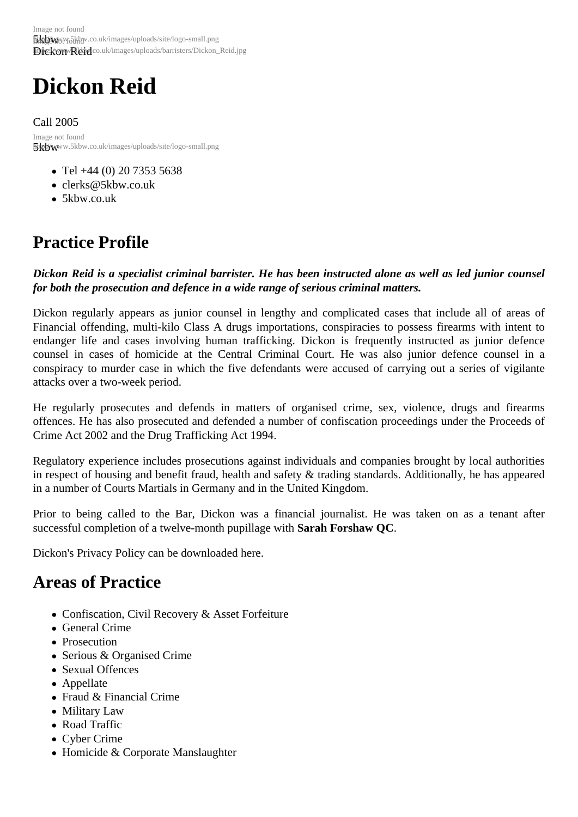# Dickon Reid

Call 2005 5kbwww.5kbw.co.uk/images/uploads/site/logo-small.png Image not found

- Tel +44 (0) 20 7353 5638
- clerks@5kbw.co.uk
- 5kbw.co.uk

# Pra[ctice Pr](http://www.5kbw.co.uk)[ofile](mailto:clerks@5kbw.co.uk)

Dickon Reid is a specialist criminal barrister. He has been instructed alone as well as led junior counsel for both the prosecution and defence in a wide range of serious criminal matters.

Dickon regularly appears as junior counsel in lengthy and complicated cases that include all of areas of Financial offending, multi-kilo Class A drugs importations, conspiracies to possess firearms with intent to endanger life and cases involving human trafficking. Dickon is frequently instructed as junior defence counsel in cases of homicide at the Central Criminal Court. He was also junior defence counsel in a conspiracy to murder case in which the five defendants were accused of carrying out a series of vigilante attacks over a two-week period.

He regularly prosecutes and defends in matters of organised crime, sex, violence, drugs and firearms offences. He has also prosecuted and defended a number of confiscation proceedings under the Proceeds Crime Act 2002 and the Drug Trafficking Act 1994.

Regulatory experience includes prosecutions against individuals and companies brought by local authorities in respect of housing and benefit fraud, health and safety & trading standards. Additionally, he has appeared in a number of Courts Martials in Germany and in the United Kingdom.

Prior to being called to the Bar, Dickon was a financial journalist. He was taken on as a tenant after successful completion of a twelve-month pupillage **With And Forshaw QC**.

Dickon's Privacy Policy can be downloaded he

## Areas of Practice

- Confiscation, Civil Recovery & Asset Forfeiture
- General Crime
- Prosecution
- Serious & Organised Crime
- Sexual Offences
- Appellate
- Fraud & Financial Crime
- Military Law
- Road Traffic
- Cyber Crime
- Homicide & Corporate Manslaughter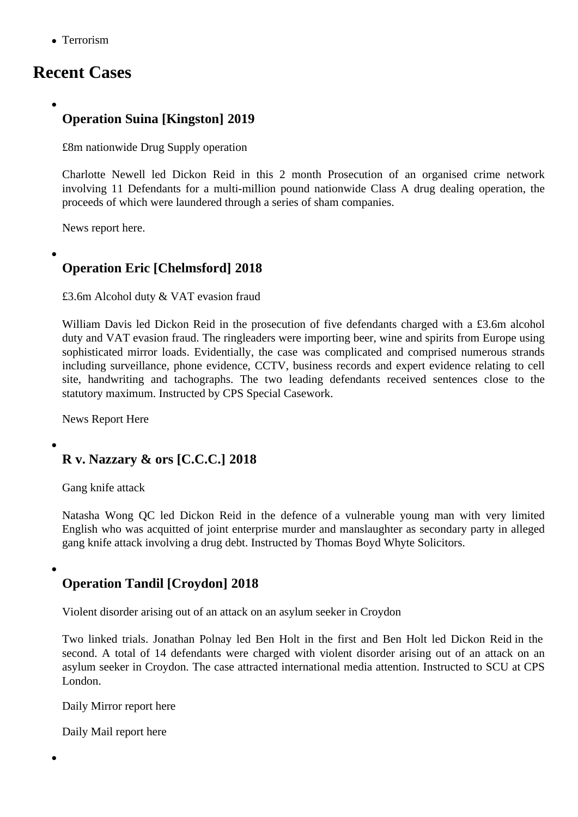## Recent Cases

## Operation Suina [Kingston] 2019

£8m nationwide Drug Supply operation

Charlotte Newell led Dickon Reid in this 2 month Prosecution of an organised crime network involving 11 Defendants for a multi-million pound nationwide Class A drug dealing operation, the proceeds of which were laundered through a series of sham companies.

[News report here](/barristers/profile/charlotte-newell).

[Operation Eric](https://www.standard.co.uk/news/crime/criminal-gang-facing-jail-after-laundering-profits-of-8-million-drugs-supply-operation-through-sham-a4165851.html) [Chelmsford] 2018

£3.6m Alcohol duty & VAT evasion fraud

William Davis led Dickon Reidin the prosecution of five defendants charged with a £3.6m alcohol duty and VAT evasion fraud. The ringleaders were importing beer, wine and spirits from Europe using sophisticated mirror loads. Evidentially, the case was complicated and comprised numerous strands [including surv](/barristers/profile/william-davis)eill[ance, phone](/barristers/profile/dickon-reid) evidence, CCTV, business records and expert evidence relating to cell site, handwriting and tachographs. The two leading defendants received sentences close to the statutory maximum. Instructed by CPS Special Casework.

News Report Here

[R v. Nazzary &](https://www.essexlive.news/news/tax-fraud-brothers-jailed-after-2184419) ors [C.C.C.] 2018

Gang knife attack

Natasha Wong QCed Dickon Reid in the defence of a vulnerable young man with very limited English who was acquitted of joint enterprise murder and manslaughter as secondary party in alleged gang knife attack involving a drug debt. Instructed by Thomas Boyd Whyte Solicitors.

Operation Tandil [Croydon] 2018

Violent disorder arising out of an attack on an asylum seeker in Croydon

Two linked trials. Jonathan Polnayed Ben Holt in the first and Ben Holt led Dickon Reidin the second. A total of 14 defendants were charged with violent disorder arising out of an attack on an asylum seeker in Croydon. The case attracted international media attention. Instructed to SCU at CPS London.

Daily Mirror report here

Daily Mail report here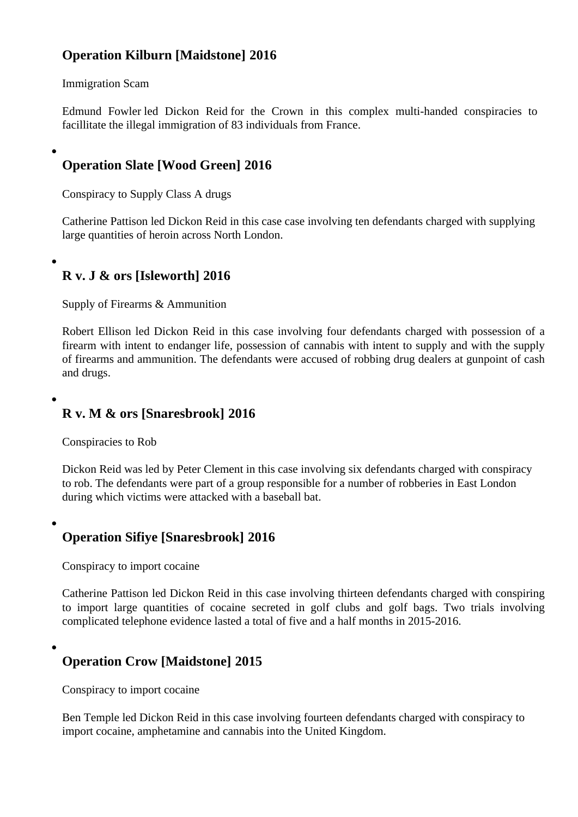### Operation Kilburn [Maidstone] 2016

### Immigration Scam

Edmund Fowler ed Dickon Reidfor the Crown in this complex multi-handed conspiracies to facillitate the illegal immigration of 83 individuals from France.

[Operation Sla](/barristers/profile/edmund-fowler)te [[Wood Gree](/barristers/profile/dickon-reid)n] 2016

Conspiracy to Supply Class A drugs

Catherine Pattisoled Dickon Reidin this case case involving ten defendants charged with supplying large quantities of heroin across North London.

[R v. J & ors \[Is](/barristers/profile/catherine-pattison)le[worth\] 2016](/barristers/profile/dickon-reid)

Supply of Firearms & Ammunition

Robert Ellisonled Dickon Reidin this case involving four defendants charged with possession of a firearm with intent to endanger life, possession of cannabis with intent to supply and with the supply of firearms and ammunition. The defendants were accused of robbing drug dealers at gunpoint of cash [and drugs.](/barristers/profile/robert-ellison) 

R v. M & ors [Snaresbrook] 2016

Conspiracies to Rob

Dickon Reidwas led by Peter Clement in this case involving six defendants charged with conspiracy to rob. The defendants were part of a group responsible for a number of robberies in East London during which victims were attacked with a baseball bat.

Operation Sifiye [Snaresbrook] 2016

Conspiracy to import cocaine

Catherine Pattisoled Dickon Reidin this case involving thirteen defendants charged with conspiring to import large quantities of cocaine secreted in golf clubs and golf bags. Two trials involving complicated telephone evidence lasted a total of five and a half months in 2015-2016.

Operation Crow [Maidstone] 2015

Conspiracy to import cocaine

Ben Templded Dickon Reidin this case involving fourteen defendants charged with conspiracy to import cocaine, amphetamine and cannabis into the United Kingdom.